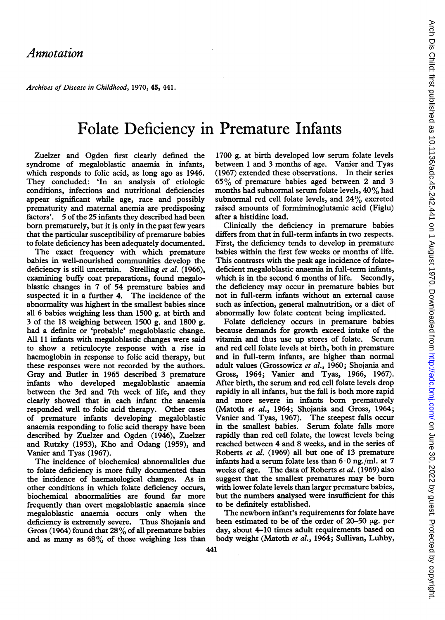Archives of Disease in Childhood, 1970, 45, 441.

## Folate Deficiency in Premature Infants

Zuelzer and Ogden first clearly defined the syndrome of megaloblastic anaemia in infants, which responds to folic acid, as long ago as 1946. They concluded: 'In an analysis of etiologic conditions, infections and nutritional deficiencies appear significant while age, race and possibly prematurity and maternal anemia are predisposing factors'. 5 of the 25 infants they described had been born prematurely, but it is only in the past few years that the particular susceptibility of premature babies to folate deficiency has been adequately documented.

The exact frequency with which premature babies in well-nourished communities develop the deficiency is still uncertain. Strelling et al. (1966), examining buffy coat preparations, found megaloblastic changes in 7 of 54 premature babies and suspected it in a further 4. The incidence of the abnormality was highest in the smallest babies since all 6 babies weighing less than 1500 g. at birth and 3 of the 18 weighing between 1500 g. and 1800 g. had a definite or 'probable' megaloblastic change. All 11 infants with megaloblastic changes were said to show a reticulocyte response with a rise in haemoglobin in response to folic acid therapy, but these responses were not recorded by the authors. Gray and Butler in 1965 described 3 premature infants who developed megaloblastic anaemia between the 3rd and 7th week of life, and they clearly showed that in each infant the anaemia responded well to folic acid therapy. Other cases of premature infants developing megaloblastic anaemia responding to folic acid therapy have been described by Zuelzer and Ogden (1946), Zuelzer and Rutzky (1953), Kho and Odang (1959), and Vanier and Tyas (1967).

The incidence of biochemical abnormalities due to folate deficiency is more fully documented than the incidence of haematological changes. As in other conditions in which folate deficiency occurs, biochemical abnormalities are found far more frequently than overt megaloblastic anaemia since megaloblastic anaemia occurs only when the deficiency is extremely severe. Thus Shojania and Gross (1964) found that  $28\%$  of all premature babies and as many as 68% of those weighing less than 1700 g. at birth developed low serum folate levels between <sup>1</sup> and 3 months of age. Vanier and Tyas (1967) extended these observations. In their series 65% of premature babies aged between 2 and 3 months had subnormal serum folate levels, 40% had subnormal red cell folate levels, and 24% excreted raised amounts of formiminoglutamic acid (Figlu) after a histidine load.

Clinically the deficiency in premature babies differs from that in full-term infants in two respects. First, the deficiency tends to develop in premature babies within the first few weeks or months of life. This contrasts with the peak age incidence of folatedeficient megaloblastic anaemia in full-term infants, which is in the second 6 months of life. Secondly, the deficiency may occur in premature babies but not in full-term infants without an external cause such as infection, general malnutrition, or a diet of abnormally low folate content being implicated.

Folate deficiency occurs in premature babies because demands for growth exceed intake of the vitamin and thus use up stores of folate. Serum and red cell folate levels at birth, both in premature and in full-term infants, are higher than normal adult values (Grossowicz et al., 1960; Shojania and Gross, 1964; Vanier and Tyas, 1966, 1967). After birth, the serum and red cell folate levels drop rapidly in all infants, but the fall is both more rapid and more severe in infants born prematurely (Matoth et al., 1964; Shojania and Gross, 1964; Vanier and Tyas, 1967). The steepest falls occur in the smallest babies. Serum folate falls more rapidly than red cell folate, the lowest levels being reached between 4 and 8 weeks, and in the series of Roberts et al. (1969) all but one of 13 premature infants had a serum folate less than  $6 \cdot 0$  ng./ml. at 7 weeks of age. The data of Roberts et al. (1969) also suggest that the smallest prematures may be born with lower folate levels than larger premature babies, but the numbers analysed were insufficient for this to be definitely established.

The newborn infant's requirements for folate have been estimated to be of the order of 20-50  $\mu$ g. per day, about 4-10 times adult requirements based on body weight (Matoth et al., 1964; Sullivan, Luhby,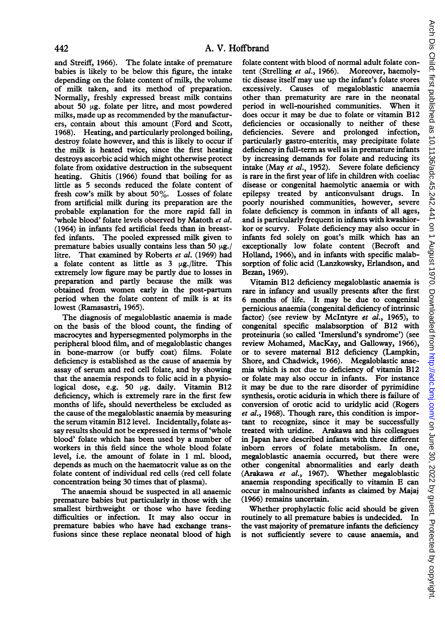and Streiff, 1966). The folate intake of premature babies is likely to be below this figure, the intake depending on the folate content of milk, the volume of milk taken, and its method of preparation. Normally, freshly expressed breast milk contains about 50  $\mu$ g. folate per litre, and most powdered milks, made up as recommended by the manufacturers, contain about this amount (Ford and Scott, 1968). Heating, and particularly prolonged boiling, destroy folate however, and this is likely to occur if the milk is heated twice, since the first heating destroys ascorbic acid which might otherwise protect folate from oxidative destruction in the subsequent heating. Ghitis (1966) found that boiling for as little as 5 seconds reduced the folate content of fresh cow's milk by about 50%. Losses of folate from artificial milk during its preparation are the probable explanation for the more rapid fall in 'whole blood' folate levels observed by Matoth et al. (1964) in infants fed artificial feeds than in breastfed infants. The pooled expressed milk given to premature babies usually contains less than 50  $\mu$ g./ litre. That examined by Roberts et al. (1969) had a folate content as little as  $3 \mu g$ ./litre. This extremely low figure may be partly due to losses in preparation and partly because the milk was obtained from women early in the post-partum period when the folate content of milk is at its lowest (Ramasastri, 1965).

The diagnosis of megaloblastic anaemia is made on the basis of the blood count, the finding of macrocytes and hypersegmented polymorphs in the peripheral blood film, and of megaloblastic changes in bone-marrow (or buffy coat) films. Folate deficiency is established as the cause of anaemia by assay of serum and red cell folate, and by showing that the anaemia responds to folic acid in a physiological dose, e.g. 50  $\mu$ g. daily. Vitamin B12 deficiency, which is extremely rare in the first few months of life, should nevertheless be excluded as the cause of the megaloblastic anaemia by measuring the serum vitamin B12 level. Incidentally, folate assay results should not be expressed in terms of 'whole blood' folate which has been used by a number of workers in this field since the whole blood folate level, i.e. the amount of folate in <sup>1</sup> ml. blood, depends as much on the haematocrit value as on the folate content of individual red cells (red cell folate concentration being 30 times that of plasma).

The anaemia should be suspected in all anaemic premature babies but particularly in those with the smallest birthweight or those who have feeding difficulties or infection. It may also occur in premature babies who have had exchange transfusions since these replace neonatal blood of high

folate content with blood of normal adult folate content (Strelling et al., 1966). Moreover, haemolytic disease itself may use up the infant's folate stores excessively. Causes of megaloblastic anaemia other than prematurity are rare in the neonatal period in well-nourished communities. When it does occur it may be due to folate or vitamin B12 deficiencies or occasionally to neither of these deficiencies. Severe and prolonged infection, particularly gastro-enteritis, may precipitate folate deficiency in full-term as well as in premature infants by increasing demands for folate and reducing its intake (May et al., 1952). Severe folate deficiency is rare in the first year of life in children with coeliac disease or congenital haemolytic anaemia or with epilepsy treated by anticonvulsant drugs. In poorly nourished communities, however, severe folate deficiency is common in infants of all ages, and is particularly frequent in infants with kwashiorkor or scurvy. Folate deficiency may also occur in infants fed solely on goat's milk which has an exceptionally low folate content (Becroft and Holland, 1966), and in infants with specific malabsorption of folic acid (Lanzkowsky, Erlandson, and Bezan, 1969).

Vitamin B12 deficiency megaloblastic anaemia is rare in infancy and usually presents after the first 6 months of life. It may be due to congenital pernicious anaemia (congenital deficiency of intrinsic factor) (see review by McIntyre et al., 1965), to congenital specific malabsorption of B12 with proteinuria (so called 'Imerslund's syndrome') (see review Mohamed, MacKay, and Galloway, 1966), or to severe maternal B12 deficiency (Lampkin, Shore, and Chadwick, 1966). Megaloblastic anaemia which is not due to deficiency of vitamin B12 or folate may also occur in infants. For instance it may be due to the rare disorder of pyrimidine synthesis, orotic aciduria in which there is failure of conversion of orotic acid to uridylic acid (Rogers et al., 1968). Though rare, this condition is important to recognize, since it may be successfully treated with uridine. Arakawa and his colleagues in Japan have described infants with three different inborn errors of folate metabolism. In one, megaloblastic anaemia occurred, but there were other congenital abnormalities and early death (Arakawa et al., 1967). Whether megaloblastic anaemia responding specifically to vitamin E can occur in malnourished infants as claimed by Majaj (1966) remains uncertain.

Whether prophylactic folic acid should be given routinely to all premature babies is undecided. In the vast majority of premature infants the deficiency is not sufficiently severe to cause anaemia, and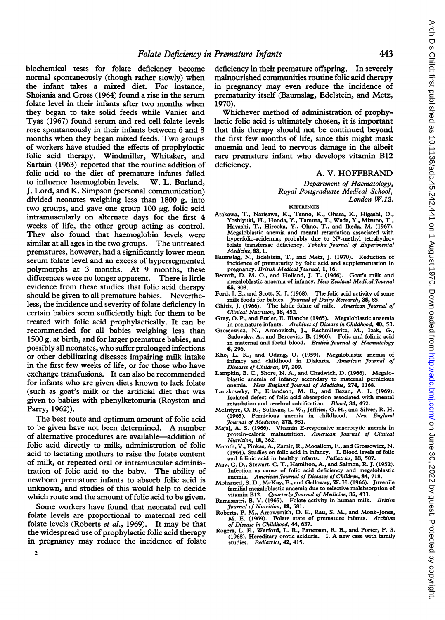biochemical tests for folate deficiency become normal spontaneously (though rather slowly) when the infant takes a mixed diet. For instance, Shojania and Gross (1964) found a rise in the serum folate level in their infants after two months when they began to take solid feeds while Vanier and Tyas (1967) found serum and red cell folate levels rose spontaneously in their infants between 6 and 8 months when they began mixed feeds. Two groups of workers have studied the effects of prophylactic folic acid therapy. Windmiller, Whitaker, and Sartain (1963) reported that the routine addition of folic acid to the diet of premature infants failed to influence haemoglobin levels. W. L. Burland, J. Lord, and K. Simpson (personal communication) divided neonates weighing less than 1800 g. into two groups, and gave one group  $100 \mu$ g. folic acid intramuscularly on alternate days for the first 4 weeks of life, the other group acting as control. They also found that haemoglobin levels were similar at all ages in the two groups. The untreated prematures, however, had a significantly lower mean serum folate level and an excess of hypersegmented polymorphs at 3 months. At 9 months, these differences were no longer apparent. There is little evidence from these studies that folic acid therapy should be given to all premature babies. Nevertheless, the incidence and severity of folate deficiency in certain babies seem sufficiently high for them to be treated with folic acid prophylactically. It can be recommended for all babies weighing less than 1500 g. at birth, and for larger premature babies, and possibly all neonates, who suffer prolonged infections or other debilitating diseases impairing milk intake in the first few weeks of life, or for those who have exchange transfusions. It can also be recommended for infants who are given diets known to lack folate (such as goat's milk or the artificial diet that was given to babies with phenylketonuria (Royston and Parry, 1962)).

The best route and optimum amount of folic acid to be given have not been determined. A number of alternative procedures are available-addition of folic acid directly to milk, administration of folic acid to lactating mothers to raise the folate content of milk, or repeated oral or intramuscular administration of folic acid to the baby. The ability of newborn premature infants to absorb folic acid is unknown, and studies of this would help to decide which route and the amount of folic acid to be given.

Some workers have found that neonatal red cell folate levels are proportional to maternal red cell folate levels (Roberts et al., 1969). It may be that the widespread use of prophylactic folic acid therapy in pregnancy may reduce the incidence of folate

deficiency in their premature offspring. In severely malnourished communities routine folic acid therapy in pregnancy may even reduce the incidence of prematurity itself (Baumslag, Edelstein, and Metz, 1970).

Whichever method of administration of prophylactic folic acid is ultimately chosen, it is important that this therapy should not be continued beyond the first few months of life, since this might mask anaemia and lead to nervous damage in the albeit rare premature infant who develops vitamin B12 deficiency.

## A. V. HOFFBRAND

Department of Haematology, Royal Postgraduate Medical School, London W.12.

## **REFERENCES**

- Arakawa, T., Narisawa, K., Tanno, K., Ohara, K., Higashi, O.,<br>Yoshiyuki, H., Honda, Y., Tamura, T., Wada, Y., Mizuno, T.,<br>Hayashi, T., Hirooka, Y., Ohno, T., and Ikeda, M. (1967).<br>Megaloblastic anemia and mental retardatio hyperfolic-acidemia; probably due to N<sup>5</sup>-methyl tetrahydrofolate transferase deficiency. Tohoku Journal of Experimental Medicine, 93, 1.
- Baumslag, N., Edelstein, T., and Metz, J. (1970). Reduction of incidence of prematurity by folic acid and supplementation in pregnancy. British Medical Journal, 1, 16.
- Becroft, D. M. O., and Holland, J. T. (1966). Goat's milk and megaloblastic anaemia of infancy. New Zealand Medical Journal 65, 303.
- Ford, J. E., and Scott, K. J. (1968). The folic acid activity of some milk foods for babies. Journal of Dairy Research, 35, 85.
- Ghitis, J. (1966). The labile folate of milk. American Journal of Clinical Nutrition, 18, 452.
- Gray, 0. P., and Butler, E. Blanche (1965). Megaloblastic anaemia in premature infants. Archives of Disease in Childhood, 40, 53.
- Grossowicz, N., Aronovitch, J., Rachmilewitz, M., Izak, G., Sadovsky, A., and Bercovici, B. (1960). Folic and folinic acid in maternal and foetal blood. British Journal of Haematology 6, 296.
- Kho, L. K., and Odang, 0. (1959). Megaloblastic anemia of infancy and childhood in Djakarta. American Journal of Diseases of Children, 97, 209.
- Lampkin, B. C., Shore, N. A., and Chadwick, D. (1966). Megalo-<br>blastic anemia of infancy secondary to maternal pernicious<br>anemia. New England Journal of Medicine, 274, 1168.
- Lanzkowsky, P., Erlandson, M. E., and Bezan, A. I. (1969). Isolated defect of folic acid absorption associated with mental retardation and cerebral calcification. Blood, 34, 452.
- McIntyre, O. R., Sullivan, L. W., Jeffries, G. H., and Silver, R. H. (1965). Pernicious anemia in childhood. New England (1965). Pernicious anemia Journal of Medicine, 272, 981.
- Majaj, A. S. (1966). Vitamin E-responsive macrocytic anemia in protein-calorie malnutrition. American Journal of Clinical Nutrition, 18, 362.
- Matoth, V., Pinkas, A., Zamir, R., Mooallem, F., and Grossowicz, N. (1964). Studies on folic acid in infancy. I. Blood levels of folic and folinic acid in healthy infants. Pediatrics, 33, 507.
- May, C. D., Stewart, C. T., Hamilton, A., and Salmon, R. J. (1952). Infection as cause of folic acid deficiency and megaloblastic
- anemia. American Journal of Diseases of Children, 84, 718.<br>Mohamed, S. D., McKay, E., and Galloway, W. H. (1966). Juvenile familial megaloblastic anaemia due to selective malabsorption of
- vitamin B12. Quarterly Journal of Medicine, 35, 433.<br>Ramasastri, B. V. (1965). Folate activity in human milk. British<br>Journal of Nutrition, 19, 581.
- Roberts, P. M., Arrowsmith, D. E., Rau, S. M., and Monk-Jones, M. E. (1969). Folate state of premature infants. Archives of Disease in Childhood, 44, 637.
- Rogers, L. E., Warford, L. R., Patterson, R. B., and Porter, F. S. (1968). Hereditary orotic aciduria. I. A new case with family studies. Pediatrics, 42, 415.